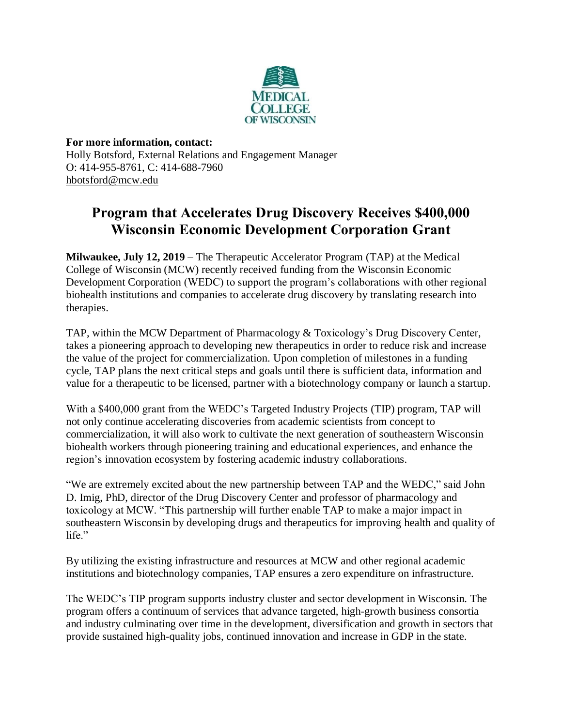

**For more information, contact:** Holly Botsford, External Relations and Engagement Manager O: 414-955-8761, C: 414-688-7960 [hbotsford@mcw.edu](mailto:hbotsford@mcw.edu)

## **Program that Accelerates Drug Discovery Receives \$400,000 Wisconsin Economic Development Corporation Grant**

**Milwaukee, July 12, 2019** – The Therapeutic Accelerator Program (TAP) at the Medical College of Wisconsin (MCW) recently received funding from the Wisconsin Economic Development Corporation (WEDC) to support the program's collaborations with other regional biohealth institutions and companies to accelerate drug discovery by translating research into therapies.

TAP, within the MCW Department of Pharmacology & Toxicology's Drug Discovery Center, takes a pioneering approach to developing new therapeutics in order to reduce risk and increase the value of the project for commercialization. Upon completion of milestones in a funding cycle, TAP plans the next critical steps and goals until there is sufficient data, information and value for a therapeutic to be licensed, partner with a biotechnology company or launch a startup.

With a \$400,000 grant from the WEDC's Targeted Industry Projects (TIP) program, TAP will not only continue accelerating discoveries from academic scientists from concept to commercialization, it will also work to cultivate the next generation of southeastern Wisconsin biohealth workers through pioneering training and educational experiences, and enhance the region's innovation ecosystem by fostering academic industry collaborations.

"We are extremely excited about the new partnership between TAP and the WEDC," said John D. Imig, PhD, director of the Drug Discovery Center and professor of pharmacology and toxicology at MCW. "This partnership will further enable TAP to make a major impact in southeastern Wisconsin by developing drugs and therapeutics for improving health and quality of life."

By utilizing the existing infrastructure and resources at MCW and other regional academic institutions and biotechnology companies, TAP ensures a zero expenditure on infrastructure.

The WEDC's TIP program supports industry cluster and sector development in Wisconsin. The program offers a continuum of services that advance targeted, high-growth business consortia and industry culminating over time in the development, diversification and growth in sectors that provide sustained high-quality jobs, continued innovation and increase in GDP in the state.